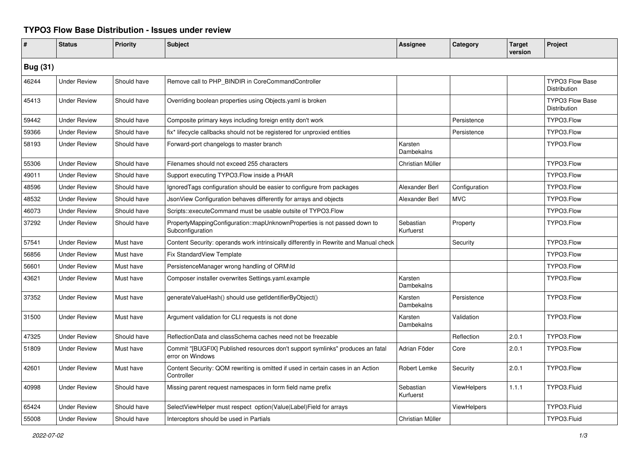## **TYPO3 Flow Base Distribution - Issues under review**

| #               | <b>Status</b>       | Priority    | <b>Subject</b>                                                                                     | <b>Assignee</b>        | Category           | <b>Target</b><br>version | Project                                |  |
|-----------------|---------------------|-------------|----------------------------------------------------------------------------------------------------|------------------------|--------------------|--------------------------|----------------------------------------|--|
| <b>Bug (31)</b> |                     |             |                                                                                                    |                        |                    |                          |                                        |  |
| 46244           | <b>Under Review</b> | Should have | Remove call to PHP_BINDIR in CoreCommandController                                                 |                        |                    |                          | <b>TYPO3 Flow Base</b><br>Distribution |  |
| 45413           | <b>Under Review</b> | Should have | Overriding boolean properties using Objects yaml is broken                                         |                        |                    |                          | <b>TYPO3 Flow Base</b><br>Distribution |  |
| 59442           | <b>Under Review</b> | Should have | Composite primary keys including foreign entity don't work                                         |                        | Persistence        |                          | TYPO3.Flow                             |  |
| 59366           | <b>Under Review</b> | Should have | fix* lifecycle callbacks should not be registered for unproxied entities                           |                        | Persistence        |                          | TYPO3.Flow                             |  |
| 58193           | <b>Under Review</b> | Should have | Forward-port changelogs to master branch                                                           | Karsten<br>Dambekalns  |                    |                          | TYPO3.Flow                             |  |
| 55306           | <b>Under Review</b> | Should have | Filenames should not exceed 255 characters                                                         | Christian Müller       |                    |                          | TYPO3.Flow                             |  |
| 49011           | <b>Under Review</b> | Should have | Support executing TYPO3.Flow inside a PHAR                                                         |                        |                    |                          | TYPO3.Flow                             |  |
| 48596           | <b>Under Review</b> | Should have | IgnoredTags configuration should be easier to configure from packages                              | Alexander Berl         | Configuration      |                          | TYPO3.Flow                             |  |
| 48532           | <b>Under Review</b> | Should have | JsonView Configuration behaves differently for arrays and objects                                  | Alexander Berl         | <b>MVC</b>         |                          | TYPO3.Flow                             |  |
| 46073           | <b>Under Review</b> | Should have | Scripts::executeCommand must be usable outsite of TYPO3.Flow                                       |                        |                    |                          | TYPO3.Flow                             |  |
| 37292           | <b>Under Review</b> | Should have | PropertyMappingConfiguration::mapUnknownProperties is not passed down to<br>Subconfiguration       | Sebastian<br>Kurfuerst | Property           |                          | TYPO3.Flow                             |  |
| 57541           | <b>Under Review</b> | Must have   | Content Security: operands work intrinsically differently in Rewrite and Manual check              |                        | Security           |                          | TYPO3.Flow                             |  |
| 56856           | <b>Under Review</b> | Must have   | <b>Fix StandardView Template</b>                                                                   |                        |                    |                          | TYPO3.Flow                             |  |
| 56601           | <b>Under Review</b> | Must have   | PersistenceManager wrong handling of ORM\ld                                                        |                        |                    |                          | TYPO3.Flow                             |  |
| 43621           | <b>Under Review</b> | Must have   | Composer installer overwrites Settings.yaml.example                                                | Karsten<br>Dambekalns  |                    |                          | TYPO3.Flow                             |  |
| 37352           | <b>Under Review</b> | Must have   | generateValueHash() should use getIdentifierByObject()                                             | Karsten<br>Dambekalns  | Persistence        |                          | TYPO3.Flow                             |  |
| 31500           | <b>Under Review</b> | Must have   | Argument validation for CLI requests is not done                                                   | Karsten<br>Dambekalns  | Validation         |                          | TYPO3.Flow                             |  |
| 47325           | <b>Under Review</b> | Should have | ReflectionData and classSchema caches need not be freezable                                        |                        | Reflection         | 2.0.1                    | TYPO3.Flow                             |  |
| 51809           | <b>Under Review</b> | Must have   | Commit "[BUGFIX] Published resources don't support symlinks" produces an fatal<br>error on Windows | Adrian Föder           | Core               | 2.0.1                    | TYPO3.Flow                             |  |
| 42601           | <b>Under Review</b> | Must have   | Content Security: QOM rewriting is omitted if used in certain cases in an Action<br>Controller     | Robert Lemke           | Security           | 2.0.1                    | TYPO3.Flow                             |  |
| 40998           | <b>Under Review</b> | Should have | Missing parent request namespaces in form field name prefix                                        | Sebastian<br>Kurfuerst | <b>ViewHelpers</b> | 1.1.1                    | TYPO3.Fluid                            |  |
| 65424           | <b>Under Review</b> | Should have | SelectViewHelper must respect option(Value Label)Field for arrays                                  |                        | <b>ViewHelpers</b> |                          | TYPO3.Fluid                            |  |
| 55008           | <b>Under Review</b> | Should have | Interceptors should be used in Partials                                                            | Christian Müller       |                    |                          | TYPO3.Fluid                            |  |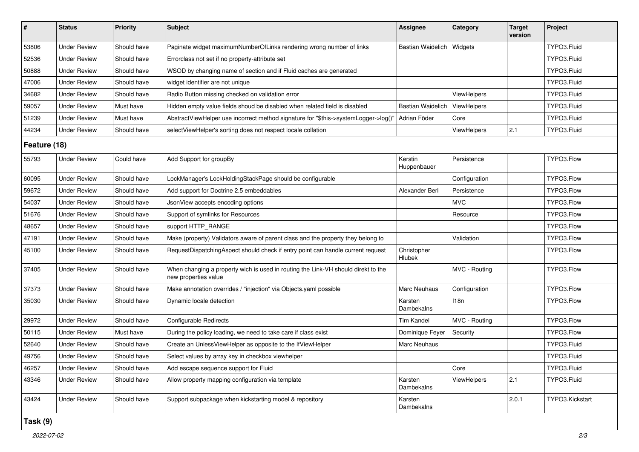| #            | <b>Status</b>       | <b>Priority</b> | <b>Subject</b>                                                                                            | Assignee                     | Category           | Target<br>version | Project         |  |
|--------------|---------------------|-----------------|-----------------------------------------------------------------------------------------------------------|------------------------------|--------------------|-------------------|-----------------|--|
| 53806        | <b>Under Review</b> | Should have     | Paginate widget maximumNumberOfLinks rendering wrong number of links                                      | <b>Bastian Waidelich</b>     | Widgets            |                   | TYPO3.Fluid     |  |
| 52536        | <b>Under Review</b> | Should have     | Errorclass not set if no property-attribute set                                                           |                              |                    |                   | TYPO3.Fluid     |  |
| 50888        | <b>Under Review</b> | Should have     | WSOD by changing name of section and if Fluid caches are generated                                        |                              |                    |                   | TYPO3.Fluid     |  |
| 47006        | <b>Under Review</b> | Should have     | widget identifier are not unique                                                                          |                              |                    |                   | TYPO3.Fluid     |  |
| 34682        | <b>Under Review</b> | Should have     | Radio Button missing checked on validation error                                                          |                              | ViewHelpers        |                   | TYPO3.Fluid     |  |
| 59057        | <b>Under Review</b> | Must have       | Hidden empty value fields shoud be disabled when related field is disabled                                | <b>Bastian Waidelich</b>     | ViewHelpers        |                   | TYPO3.Fluid     |  |
| 51239        | <b>Under Review</b> | Must have       | AbstractViewHelper use incorrect method signature for "\$this->systemLogger->log()                        | Adrian Föder                 | Core               |                   | TYPO3.Fluid     |  |
| 44234        | <b>Under Review</b> | Should have     | selectViewHelper's sorting does not respect locale collation                                              |                              | <b>ViewHelpers</b> | 2.1               | TYPO3.Fluid     |  |
| Feature (18) |                     |                 |                                                                                                           |                              |                    |                   |                 |  |
| 55793        | <b>Under Review</b> | Could have      | Add Support for groupBy                                                                                   | Kerstin<br>Huppenbauer       | Persistence        |                   | TYPO3.Flow      |  |
| 60095        | <b>Under Review</b> | Should have     | LockManager's LockHoldingStackPage should be configurable                                                 |                              | Configuration      |                   | TYPO3.Flow      |  |
| 59672        | <b>Under Review</b> | Should have     | Add support for Doctrine 2.5 embeddables                                                                  | Alexander Berl               | Persistence        |                   | TYPO3.Flow      |  |
| 54037        | <b>Under Review</b> | Should have     | JsonView accepts encoding options                                                                         |                              | <b>MVC</b>         |                   | TYPO3.Flow      |  |
| 51676        | <b>Under Review</b> | Should have     | Support of symlinks for Resources                                                                         |                              | Resource           |                   | TYPO3.Flow      |  |
| 48657        | <b>Under Review</b> | Should have     | support HTTP_RANGE                                                                                        |                              |                    |                   | TYPO3.Flow      |  |
| 47191        | <b>Under Review</b> | Should have     | Make (property) Validators aware of parent class and the property they belong to                          |                              | Validation         |                   | TYPO3.Flow      |  |
| 45100        | <b>Under Review</b> | Should have     | RequestDispatchingAspect should check if entry point can handle current request                           | Christopher<br><b>Hlubek</b> |                    |                   | TYPO3.Flow      |  |
| 37405        | <b>Under Review</b> | Should have     | When changing a property wich is used in routing the Link-VH should direkt to the<br>new properties value |                              | MVC - Routing      |                   | TYPO3.Flow      |  |
| 37373        | <b>Under Review</b> | Should have     | Make annotation overrides / "injection" via Objects yaml possible                                         | <b>Marc Neuhaus</b>          | Configuration      |                   | TYPO3.Flow      |  |
| 35030        | <b>Under Review</b> | Should have     | Dynamic locale detection                                                                                  | Karsten<br>Dambekalns        | 118n               |                   | TYPO3.Flow      |  |
| 29972        | <b>Under Review</b> | Should have     | <b>Configurable Redirects</b>                                                                             | <b>Tim Kandel</b>            | MVC - Routing      |                   | TYPO3.Flow      |  |
| 50115        | <b>Under Review</b> | Must have       | During the policy loading, we need to take care if class exist                                            | Dominique Feyer              | Security           |                   | TYPO3.Flow      |  |
| 52640        | <b>Under Review</b> | Should have     | Create an UnlessViewHelper as opposite to the IfViewHelper                                                | Marc Neuhaus                 |                    |                   | TYPO3.Fluid     |  |
| 49756        | <b>Under Review</b> | Should have     | Select values by array key in checkbox viewhelper                                                         |                              |                    |                   | TYPO3.Fluid     |  |
| 46257        | <b>Under Review</b> | Should have     | Add escape sequence support for Fluid                                                                     |                              | Core               |                   | TYPO3.Fluid     |  |
| 43346        | <b>Under Review</b> | Should have     | Allow property mapping configuration via template                                                         | Karsten<br>Dambekalns        | <b>ViewHelpers</b> | 2.1               | TYPO3.Fluid     |  |
| 43424        | <b>Under Review</b> | Should have     | Support subpackage when kickstarting model & repository                                                   | Karsten<br>Dambekalns        |                    | 2.0.1             | TYPO3.Kickstart |  |